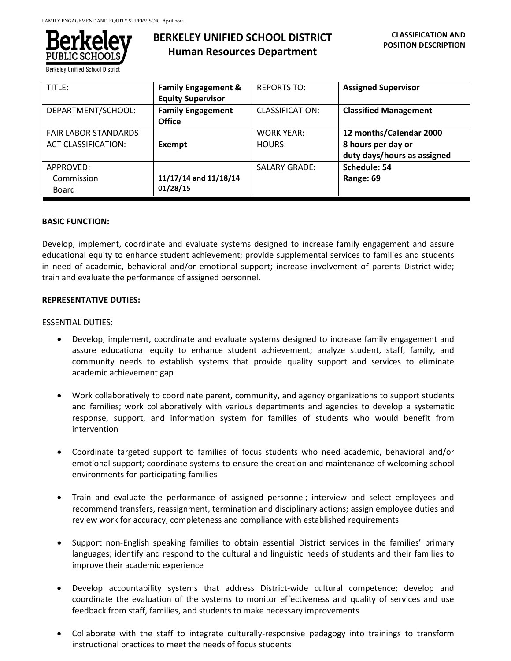

**Berkeley Unified School District** 

# **BERKELEY UNIFIED SCHOOL DISTRICT Human Resources Department**

| TITLE:                                                    | <b>Family Engagement &amp;</b><br><b>Equity Supervisor</b> | <b>REPORTS TO:</b>          | <b>Assigned Supervisor</b>                                                   |
|-----------------------------------------------------------|------------------------------------------------------------|-----------------------------|------------------------------------------------------------------------------|
| DEPARTMENT/SCHOOL:                                        | <b>Family Engagement</b><br><b>Office</b>                  | CLASSIFICATION:             | <b>Classified Management</b>                                                 |
| <b>FAIR LABOR STANDARDS</b><br><b>ACT CLASSIFICATION:</b> | Exempt                                                     | <b>WORK YEAR:</b><br>HOURS: | 12 months/Calendar 2000<br>8 hours per day or<br>duty days/hours as assigned |
| APPROVED:<br>Commission<br>Board                          | 11/17/14 and 11/18/14<br>01/28/15                          | <b>SALARY GRADE:</b>        | Schedule: 54<br>Range: 69                                                    |

## **BASIC FUNCTION:**

Develop, implement, coordinate and evaluate systems designed to increase family engagement and assure educational equity to enhance student achievement; provide supplemental services to families and students in need of academic, behavioral and/or emotional support; increase involvement of parents District-wide; train and evaluate the performance of assigned personnel.

## **REPRESENTATIVE DUTIES:**

## ESSENTIAL DUTIES:

- Develop, implement, coordinate and evaluate systems designed to increase family engagement and assure educational equity to enhance student achievement; analyze student, staff, family, and community needs to establish systems that provide quality support and services to eliminate academic achievement gap
- Work collaboratively to coordinate parent, community, and agency organizations to support students and families; work collaboratively with various departments and agencies to develop a systematic response, support, and information system for families of students who would benefit from intervention
- Coordinate targeted support to families of focus students who need academic, behavioral and/or emotional support; coordinate systems to ensure the creation and maintenance of welcoming school environments for participating families
- Train and evaluate the performance of assigned personnel; interview and select employees and recommend transfers, reassignment, termination and disciplinary actions; assign employee duties and review work for accuracy, completeness and compliance with established requirements
- Support non-English speaking families to obtain essential District services in the families' primary languages; identify and respond to the cultural and linguistic needs of students and their families to improve their academic experience
- Develop accountability systems that address District-wide cultural competence; develop and coordinate the evaluation of the systems to monitor effectiveness and quality of services and use feedback from staff, families, and students to make necessary improvements
- Collaborate with the staff to integrate culturally-responsive pedagogy into trainings to transform instructional practices to meet the needs of focus students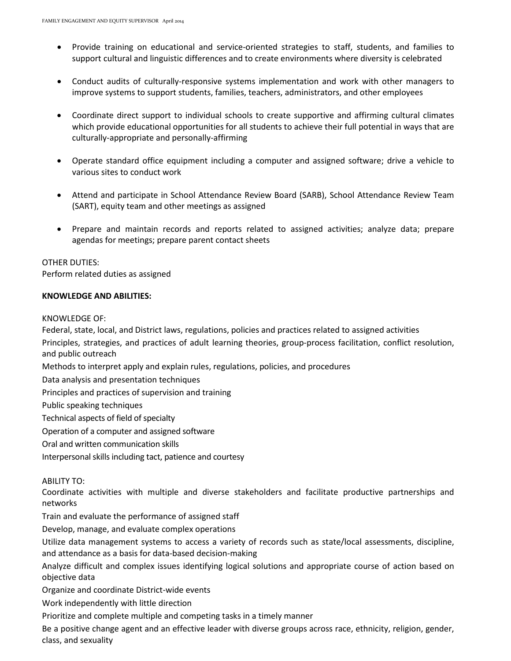- Provide training on educational and service-oriented strategies to staff, students, and families to support cultural and linguistic differences and to create environments where diversity is celebrated
- Conduct audits of culturally-responsive systems implementation and work with other managers to improve systems to support students, families, teachers, administrators, and other employees
- Coordinate direct support to individual schools to create supportive and affirming cultural climates which provide educational opportunities for all students to achieve their full potential in ways that are culturally-appropriate and personally-affirming
- Operate standard office equipment including a computer and assigned software; drive a vehicle to various sites to conduct work
- Attend and participate in School Attendance Review Board (SARB), School Attendance Review Team (SART), equity team and other meetings as assigned
- Prepare and maintain records and reports related to assigned activities; analyze data; prepare agendas for meetings; prepare parent contact sheets

## OTHER DUTIES:

Perform related duties as assigned

## **KNOWLEDGE AND ABILITIES:**

### KNOWLEDGE OF:

Federal, state, local, and District laws, regulations, policies and practices related to assigned activities Principles, strategies, and practices of adult learning theories, group-process facilitation, conflict resolution, and public outreach

Methods to interpret apply and explain rules, regulations, policies, and procedures

Data analysis and presentation techniques

Principles and practices of supervision and training

Public speaking techniques

Technical aspects of field of specialty

Operation of a computer and assigned software

Oral and written communication skills

Interpersonal skills including tact, patience and courtesy

## ABILITY TO:

Coordinate activities with multiple and diverse stakeholders and facilitate productive partnerships and networks

Train and evaluate the performance of assigned staff

Develop, manage, and evaluate complex operations

Utilize data management systems to access a variety of records such as state/local assessments, discipline, and attendance as a basis for data-based decision-making

Analyze difficult and complex issues identifying logical solutions and appropriate course of action based on objective data

Organize and coordinate District-wide events

Work independently with little direction

Prioritize and complete multiple and competing tasks in a timely manner

Be a positive change agent and an effective leader with diverse groups across race, ethnicity, religion, gender, class, and sexuality